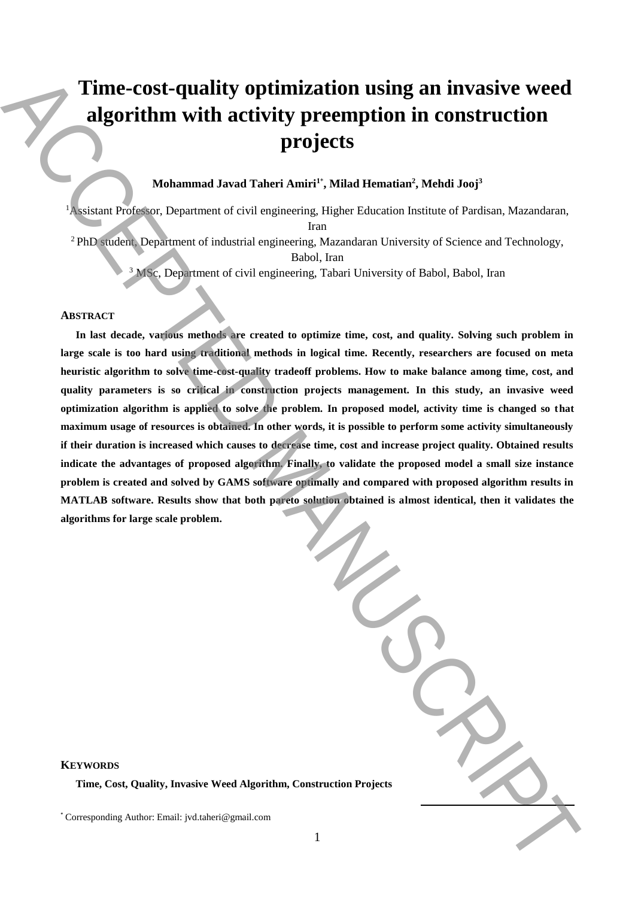# **Time-cost-quality optimization using an invasive weed algorithm with activity preemption in construction projects**

# **Mohammad Javad Taheri Amiri<sup>1</sup>**\* **, Milad Hematian<sup>2</sup> , Mehdi Jooj<sup>3</sup>**

<sup>1</sup>Assistant Professor, Department of civil engineering, Higher Education Institute of Pardisan, Mazandaran, Iran <sup>2</sup> PhD student, Department of industrial engineering, Mazandaran University of Science and Technology, Babol, Iran

<sup>3</sup> MSc, Department of civil engineering, Tabari University of Babol, Babol, Iran

## **ABSTRACT**

**In last decade, various methods are created to optimize time, cost, and quality. Solving such problem in large scale is too hard using traditional methods in logical time. Recently, researchers are focused on meta heuristic algorithm to solve time-cost-quality tradeoff problems. How to make balance among time, cost, and quality parameters is so critical in construction projects management. In this study, an invasive weed optimization algorithm is applied to solve the problem. In proposed model, activity time is changed so that maximum usage of resources is obtained. In other words, it is possible to perform some activity simultaneously if their duration is increased which causes to decrease time, cost and increase project quality. Obtained results indicate the advantages of proposed algorithm. Finally, to validate the proposed model a small size instance problem is created and solved by GAMS software optimally and compared with proposed algorithm results in MATLAB software. Results show that both pareto solution obtained is almost identical, then it validates the algorithms for large scale problem. Time-cost-quality optimization using an invastive weed<br>algorithm with activity precent form a construction projects**  $\mathbf{r}_0$  **that strengthes a matrice in the corresponding Manuscript and**  $\mathbf{r}_0$  **that**  $\mathbf{r}_0$  **the con** 

| ion Projects |  |
|--------------|--|

### **KEYWORDS**

**Time, Cost, Quality, Invasive Weed Algorithm, Construct**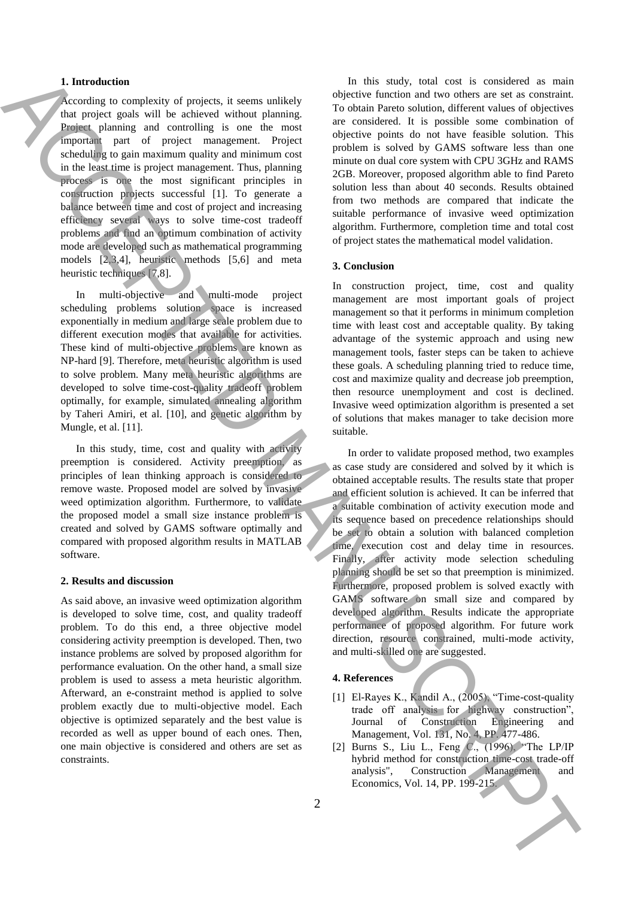# **1. Introduction**

According to complexity of projects, it seems unlikely that project goals will be achieved without planning. Project planning and controlling is one the most important part of project management. Project scheduling to gain maximum quality and minimum cost in the least time is project management. Thus, planning process is one the most significant principles in construction projects successful [1]. To generate a balance between time and cost of project and increasing efficiency several ways to solve time-cost tradeoff problems and find an optimum combination of activity mode are developed such as mathematical programming models [2,3,4], heuristic methods [5,6] and meta heuristic techniques [7,8].

In multi-objective and multi-mode project scheduling problems solution space is increased exponentially in medium and large scale problem due to different execution modes that available for activities. These kind of multi-objective problems are known as NP-hard [9]. Therefore, meta heuristic algorithm is used to solve problem. Many meta heuristic algorithms are developed to solve time-cost-quality tradeoff problem optimally, for example, simulated annealing algorithm by Taheri Amiri, et al. [10], and genetic algorithm by Mungle, et al. [11].

In this study, time, cost and quality with activity preemption is considered. Activity preemption, as principles of lean thinking approach is considered to remove waste. Proposed model are solved by invasive weed optimization algorithm. Furthermore, to validate the proposed model a small size instance problem is created and solved by GAMS software optimally and compared with proposed algorithm results in MATLAB software.

#### **2. Results and discussion**

As said above, an invasive weed optimization algorithm is developed to solve time, cost, and quality tradeoff problem. To do this end, a three objective model considering activity preemption is developed. Then, two instance problems are solved by proposed algorithm for performance evaluation. On the other hand, a small size problem is used to assess a meta heuristic algorithm. Afterward, an e-constraint method is applied to solve problem exactly due to multi-objective model. Each objective is optimized separately and the best value is recorded as well as upper bound of each ones. Then, one main objective is considered and others are set as constraints.

In this study, total cost is considered as main objective function and two others are set as constraint. To obtain Pareto solution, different values of objectives are considered. It is possible some combination of objective points do not have feasible solution. This problem is solved by GAMS software less than one minute on dual core system with CPU 3GHz and RAMS 2GB. Moreover, proposed algorithm able to find Pareto solution less than about 40 seconds. Results obtained from two methods are compared that indicate the suitable performance of invasive weed optimization algorithm. Furthermore, completion time and total cost of project states the mathematical model validation.

### **3. Conclusion**

In construction project, time, cost and quality management are most important goals of project management so that it performs in minimum completion time with least cost and acceptable quality. By taking advantage of the systemic approach and using new management tools, faster steps can be taken to achieve these goals. A scheduling planning tried to reduce time, cost and maximize quality and decrease job preemption, then resource unemployment and cost is declined. Invasive weed optimization algorithm is presented a set of solutions that makes manager to take decision more suitable.

In order to validate proposed method, two examples as case study are considered and solved by it which is obtained acceptable results. The results state that proper and efficient solution is achieved. It can be inferred that a suitable combination of activity execution mode and its sequence based on precedence relationships should be set to obtain a solution with balanced completion time, execution cost and delay time in resources. Finally, after activity mode selection scheduling planning should be set so that preemption is minimized. Furthermore, proposed problem is solved exactly with GAMS software on small size and compared by developed algorithm. Results indicate the appropriate performance of proposed algorithm. For future work direction, resource constrained, multi-mode activity, and multi-skilled one are suggested. The theoretic spectra is not as the spectra of the spectra is not as  $\frac{1}{2}$  the spectra of the spectra of the spectra of the spectra of the spectra of the spectra of the spectra of the spectra of the spectra of the spe

# **4. References**

- [1] El-Rayes K., Kandil A., (2005), "Time-cost-quality trade off analysis for highway construction", Journal of Construction Engineering and Management, Vol. 131, No. 4, PP. 477-486.
- [2] Burns S., Liu L., Feng C., (1996), "The LP/IP hybrid method for construction time-cost trade-off analysis", Construction Management and Economics, Vol. 14, PP. 199-215.